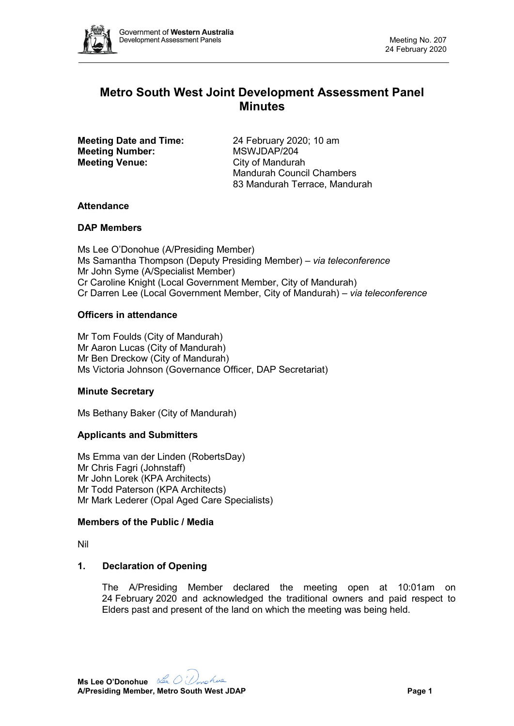

# **Metro South West Joint Development Assessment Panel Minutes**

**Meeting Date and Time: Meeting Number: Meeting Venue:**

24 February 2020; 10 am MSWJDAP/204 City of Mandurah Mandurah Council Chambers 83 Mandurah Terrace, Mandurah

## **Attendance**

## **DAP Members**

Ms Lee O'Donohue (A/Presiding Member) Ms Samantha Thompson (Deputy Presiding Member) – *via teleconference* Mr John Syme (A/Specialist Member) Cr Caroline Knight (Local Government Member, City of Mandurah) Cr Darren Lee (Local Government Member, City of Mandurah) – *via teleconference*

## **Officers in attendance**

Mr Tom Foulds (City of Mandurah) Mr Aaron Lucas (City of Mandurah) Mr Ben Dreckow (City of Mandurah) Ms Victoria Johnson (Governance Officer, DAP Secretariat)

## **Minute Secretary**

Ms Bethany Baker (City of Mandurah)

## **Applicants and Submitters**

Ms Emma van der Linden (RobertsDay) Mr Chris Fagri (Johnstaff) Mr John Lorek (KPA Architects) Mr Todd Paterson (KPA Architects) Mr Mark Lederer (Opal Aged Care Specialists)

#### **Members of the Public / Media**

Nil

## **1. Declaration of Opening**

The A/Presiding Member declared the meeting open at 10:01am on 24 February 2020 and acknowledged the traditional owners and paid respect to Elders past and present of the land on which the meeting was being held.

**Ms Lee O'Donohue A/Presiding Member, Metro South West JDAP Page 1**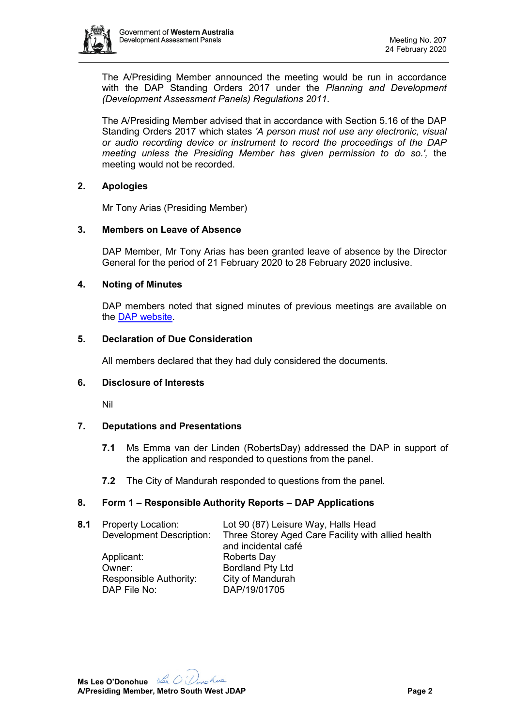

The A/Presiding Member announced the meeting would be run in accordance with the DAP Standing Orders 2017 under the *Planning and Development (Development Assessment Panels) Regulations 2011*.

The A/Presiding Member advised that in accordance with Section 5.16 of the DAP Standing Orders 2017 which states *'A person must not use any electronic, visual or audio recording device or instrument to record the proceedings of the DAP meeting unless the Presiding Member has given permission to do so.',* the meeting would not be recorded.

## **2. Apologies**

Mr Tony Arias (Presiding Member)

## **3. Members on Leave of Absence**

DAP Member, Mr Tony Arias has been granted leave of absence by the Director General for the period of 21 February 2020 to 28 February 2020 inclusive.

## **4. Noting of Minutes**

DAP members noted that signed minutes of previous meetings are available on the [DAP website.](https://www.dplh.wa.gov.au/about/development-assessment-panels/daps-agendas-and-minutes)

## **5. Declaration of Due Consideration**

All members declared that they had duly considered the documents.

## **6. Disclosure of Interests**

Nil

## **7. Deputations and Presentations**

- **7.1** Ms Emma van der Linden (RobertsDay) addressed the DAP in support of the application and responded to questions from the panel.
- **7.2** The City of Mandurah responded to questions from the panel.

## **8. Form 1 – Responsible Authority Reports – DAP Applications**

| Three Storey Aged Care Facility with allied health |
|----------------------------------------------------|
|                                                    |
|                                                    |
|                                                    |
|                                                    |
|                                                    |
|                                                    |
|                                                    |

**Ms Lee O'Donohue A/Presiding Member, Metro South West JDAP Page 2**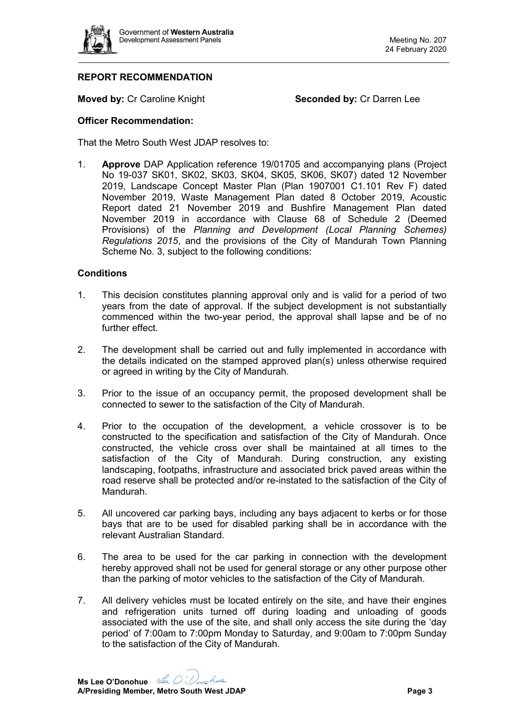

# **REPORT RECOMMENDATION**

**Moved by: Cr Caroline Knight <b>Seconded by: Cr Darren Lee** 

#### **Officer Recommendation:**

That the Metro South West JDAP resolves to:

1. **Approve** DAP Application reference 19/01705 and accompanying plans (Project No 19-037 SK01, SK02, SK03, SK04, SK05, SK06, SK07) dated 12 November 2019, Landscape Concept Master Plan (Plan 1907001 C1.101 Rev F) dated November 2019, Waste Management Plan dated 8 October 2019, Acoustic Report dated 21 November 2019 and Bushfire Management Plan dated November 2019 in accordance with Clause 68 of Schedule 2 (Deemed Provisions) of the *Planning and Development (Local Planning Schemes) Regulations 2015*, and the provisions of the City of Mandurah Town Planning Scheme No. 3, subject to the following conditions:

## **Conditions**

- 1. This decision constitutes planning approval only and is valid for a period of two years from the date of approval. If the subject development is not substantially commenced within the two-year period, the approval shall lapse and be of no further effect
- 2. The development shall be carried out and fully implemented in accordance with the details indicated on the stamped approved plan(s) unless otherwise required or agreed in writing by the City of Mandurah.
- 3. Prior to the issue of an occupancy permit, the proposed development shall be connected to sewer to the satisfaction of the City of Mandurah.
- 4. Prior to the occupation of the development, a vehicle crossover is to be constructed to the specification and satisfaction of the City of Mandurah. Once constructed, the vehicle cross over shall be maintained at all times to the satisfaction of the City of Mandurah. During construction, any existing landscaping, footpaths, infrastructure and associated brick paved areas within the road reserve shall be protected and/or re-instated to the satisfaction of the City of Mandurah.
- 5. All uncovered car parking bays, including any bays adjacent to kerbs or for those bays that are to be used for disabled parking shall be in accordance with the relevant Australian Standard.
- 6. The area to be used for the car parking in connection with the development hereby approved shall not be used for general storage or any other purpose other than the parking of motor vehicles to the satisfaction of the City of Mandurah.
- 7. All delivery vehicles must be located entirely on the site, and have their engines and refrigeration units turned off during loading and unloading of goods associated with the use of the site, and shall only access the site during the 'day period' of 7:00am to 7:00pm Monday to Saturday, and 9:00am to 7:00pm Sunday to the satisfaction of the City of Mandurah.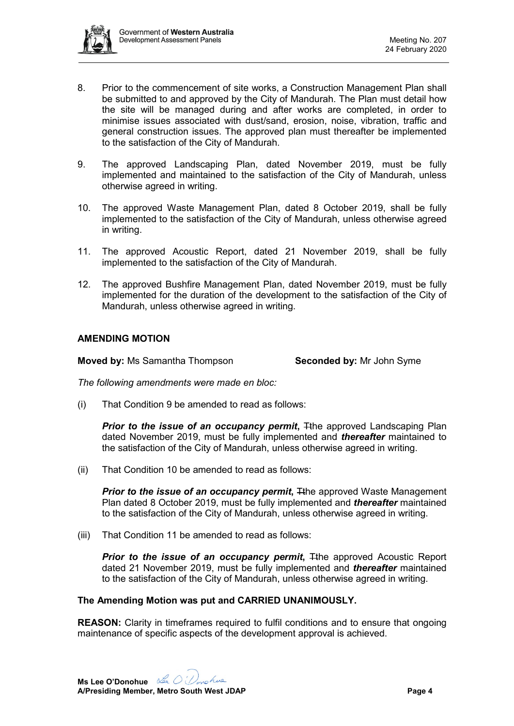

- 8. Prior to the commencement of site works, a Construction Management Plan shall be submitted to and approved by the City of Mandurah. The Plan must detail how the site will be managed during and after works are completed, in order to minimise issues associated with dust/sand, erosion, noise, vibration, traffic and general construction issues. The approved plan must thereafter be implemented to the satisfaction of the City of Mandurah.
- 9. The approved Landscaping Plan, dated November 2019, must be fully implemented and maintained to the satisfaction of the City of Mandurah, unless otherwise agreed in writing.
- 10. The approved Waste Management Plan, dated 8 October 2019, shall be fully implemented to the satisfaction of the City of Mandurah, unless otherwise agreed in writing.
- 11. The approved Acoustic Report, dated 21 November 2019, shall be fully implemented to the satisfaction of the City of Mandurah.
- 12. The approved Bushfire Management Plan, dated November 2019, must be fully implemented for the duration of the development to the satisfaction of the City of Mandurah, unless otherwise agreed in writing.

## **AMENDING MOTION**

**Moved by:** Ms Samantha Thompson **Seconded by:** Mr John Syme

*The following amendments were made en bloc:*

(i) That Condition 9 be amended to read as follows:

**Prior to the issue of an occupancy permit, Tthe approved Landscaping Plan** dated November 2019, must be fully implemented and *thereafter* maintained to the satisfaction of the City of Mandurah, unless otherwise agreed in writing.

(ii) That Condition 10 be amended to read as follows:

**Prior to the issue of an occupancy permit, The approved Waste Management** Plan dated 8 October 2019, must be fully implemented and *thereafter* maintained to the satisfaction of the City of Mandurah, unless otherwise agreed in writing.

(iii) That Condition 11 be amended to read as follows:

**Prior to the issue of an occupancy permit, The approved Acoustic Report** dated 21 November 2019, must be fully implemented and *thereafter* maintained to the satisfaction of the City of Mandurah, unless otherwise agreed in writing.

## **The Amending Motion was put and CARRIED UNANIMOUSLY.**

**REASON:** Clarity in timeframes required to fulfil conditions and to ensure that ongoing maintenance of specific aspects of the development approval is achieved.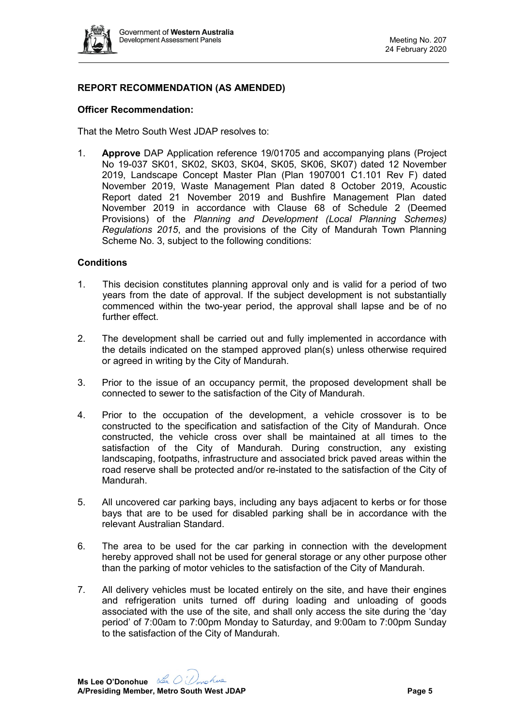

# **REPORT RECOMMENDATION (AS AMENDED)**

## **Officer Recommendation:**

That the Metro South West JDAP resolves to:

1. **Approve** DAP Application reference 19/01705 and accompanying plans (Project No 19-037 SK01, SK02, SK03, SK04, SK05, SK06, SK07) dated 12 November 2019, Landscape Concept Master Plan (Plan 1907001 C1.101 Rev F) dated November 2019, Waste Management Plan dated 8 October 2019, Acoustic Report dated 21 November 2019 and Bushfire Management Plan dated November 2019 in accordance with Clause 68 of Schedule 2 (Deemed Provisions) of the *Planning and Development (Local Planning Schemes) Regulations 2015*, and the provisions of the City of Mandurah Town Planning Scheme No. 3, subject to the following conditions:

## **Conditions**

- 1. This decision constitutes planning approval only and is valid for a period of two years from the date of approval. If the subject development is not substantially commenced within the two-year period, the approval shall lapse and be of no further effect.
- 2. The development shall be carried out and fully implemented in accordance with the details indicated on the stamped approved plan(s) unless otherwise required or agreed in writing by the City of Mandurah.
- 3. Prior to the issue of an occupancy permit, the proposed development shall be connected to sewer to the satisfaction of the City of Mandurah.
- 4. Prior to the occupation of the development, a vehicle crossover is to be constructed to the specification and satisfaction of the City of Mandurah. Once constructed, the vehicle cross over shall be maintained at all times to the satisfaction of the City of Mandurah. During construction, any existing landscaping, footpaths, infrastructure and associated brick paved areas within the road reserve shall be protected and/or re-instated to the satisfaction of the City of Mandurah.
- 5. All uncovered car parking bays, including any bays adjacent to kerbs or for those bays that are to be used for disabled parking shall be in accordance with the relevant Australian Standard.
- 6. The area to be used for the car parking in connection with the development hereby approved shall not be used for general storage or any other purpose other than the parking of motor vehicles to the satisfaction of the City of Mandurah.
- 7. All delivery vehicles must be located entirely on the site, and have their engines and refrigeration units turned off during loading and unloading of goods associated with the use of the site, and shall only access the site during the 'day period' of 7:00am to 7:00pm Monday to Saturday, and 9:00am to 7:00pm Sunday to the satisfaction of the City of Mandurah.